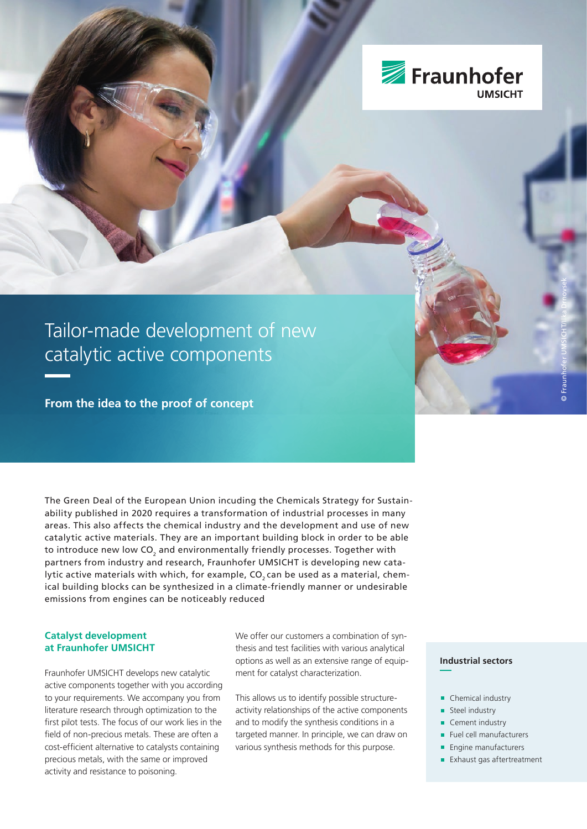

# Tailor-made development of new catalytic active components

**From the idea to the proof of concept**

The Green Deal of the European Union incuding the Chemicals Strategy for Sustainability published in 2020 requires a transformation of industrial processes in many areas. This also affects the chemical industry and the development and use of new catalytic active materials. They are an important building block in order to be able to introduce new low CO<sub>2</sub> and environmentally friendly processes. Together with partners from industry and research, Fraunhofer UMSICHT is developing new catalytic active materials with which, for example, CO<sub>2</sub> can be used as a material, chemical building blocks can be synthesized in a climate-friendly manner or undesirable emissions from engines can be noticeably reduced

## **Catalyst development at Fraunhofer UMSICHT**

Fraunhofer UMSICHT develops new catalytic active components together with you according to your requirements. We accompany you from literature research through optimization to the first pilot tests. The focus of our work lies in the field of non-precious metals. These are often a cost-efficient alternative to catalysts containing precious metals, with the same or improved activity and resistance to poisoning.

We offer our customers a combination of synthesis and test facilities with various analytical options as well as an extensive range of equipment for catalyst characterization.

This allows us to identify possible structureactivity relationships of the active components and to modify the synthesis conditions in a targeted manner. In principle, we can draw on various synthesis methods for this purpose.

### **Industrial sectors**

- 
- Chemical industry
- Steel industry
- Cement industry
- Fuel cell manufacturers
- **Engine manufacturers**
- **Exhaust gas aftertreatment**